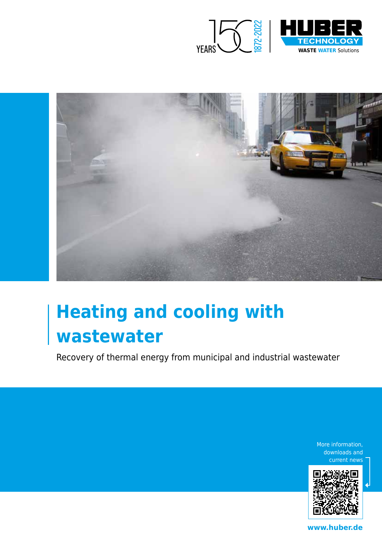



# **Heating and cooling with wastewater**

Recovery of thermal energy from municipal and industrial wastewater

More information, downloads and current news



**www.huber.de**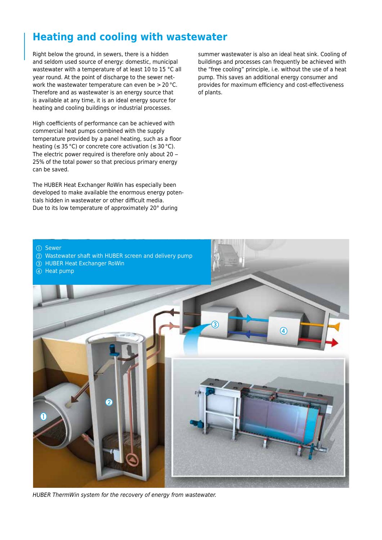#### **Heating and cooling with wastewater**

Right below the ground, in sewers, there is a hidden and seldom used source of energy: domestic, municipal wastewater with a temperature of at least 10 to 15 °C all year round. At the point of discharge to the sewer network the wastewater temperature can even be > 20 °C. Therefore and as wastewater is an energy source that is available at any time, it is an ideal energy source for heating and cooling buildings or industrial processes.

High coefficients of performance can be achieved with commercial heat pumps combined with the supply temperature provided by a panel heating, such as a floor heating ( $\leq$  35 °C) or concrete core activation ( $\leq$  30 °C). The electric power required is therefore only about 20 – 25% of the total power so that precious primary energy can be saved.

The HUBER Heat Exchanger RoWin has especially been developed to make available the enormous energy potentials hidden in wastewater or other difficult media. Due to its low temperature of approximately 20° during

summer wastewater is also an ideal heat sink. Cooling of buildings and processes can frequently be achieved with the "free cooling" principle, i.e. without the use of a heat pump. This saves an additional energy consumer and provides for maximum efficiency and cost-effectiveness of plants.



- b Wastewater shaft with HUBER screen and delivery pump
- **3** HUBER Heat Exchanger RoWin
- (4) Heat pump



*HUBER ThermWin system for the recovery of energy from wastewater.*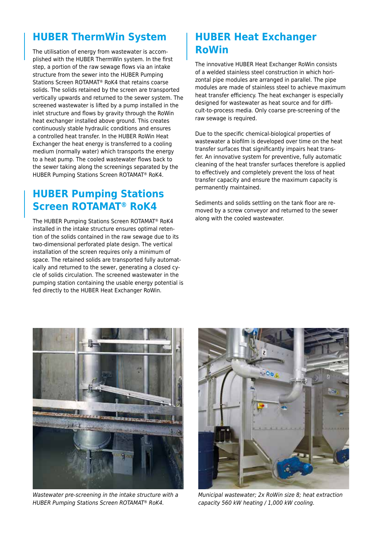#### **HUBER ThermWin System**

The utilisation of energy from wastewater is accomplished with the HUBER ThermWin system. In the first step, a portion of the raw sewage flows via an intake structure from the sewer into the HUBER Pumping Stations Screen ROTAMAT® RoK4 that retains coarse solids. The solids retained by the screen are transported vertically upwards and returned to the sewer system. The screened wastewater is lifted by a pump installed in the inlet structure and flows by gravity through the RoWin heat exchanger installed above ground. This creates continuously stable hydraulic conditions and ensures a controlled heat transfer. In the HUBER RoWin Heat Exchanger the heat energy is transferred to a cooling medium (normally water) which transports the energy to a heat pump. The cooled wastewater flows back to the sewer taking along the screenings separated by the HUBER Pumping Stations Screen ROTAMAT® RoK4.

### **HUBER Pumping Stations Screen ROTAMAT® RoK4**

The HUBER Pumping Stations Screen ROTAMAT® RoK4 installed in the intake structure ensures optimal retention of the solids contained in the raw sewage due to its two-dimensional perforated plate design. The vertical installation of the screen requires only a minimum of space. The retained solids are transported fully automatically and returned to the sewer, generating a closed cycle of solids circulation. The screened wastewater in the pumping station containing the usable energy potential is fed directly to the HUBER Heat Exchanger RoWin.

## **HUBER Heat Exchanger RoWin**

The innovative HUBER Heat Exchanger RoWin consists of a welded stainless steel construction in which horizontal pipe modules are arranged in parallel. The pipe modules are made of stainless steel to achieve maximum heat transfer efficiency. The heat exchanger is especially designed for wastewater as heat source and for difficult-to-process media. Only coarse pre-screening of the raw sewage is required.

Due to the specific chemical-biological properties of wastewater a biofilm is developed over time on the heat transfer surfaces that significantly impairs heat transfer. An innovative system for preventive, fully automatic cleaning of the heat transfer surfaces therefore is applied to effectively and completely prevent the loss of heat transfer capacity and ensure the maximum capacity is permanently maintained.

Sediments and solids settling on the tank floor are removed by a screw conveyor and returned to the sewer along with the cooled wastewater.



*Wastewater pre-screening in the intake structure with a HUBER Pumping Stations Screen ROTAMAT® RoK4.*



*Municipal wastewater; 2x RoWin size 8; heat extraction capacity 560 kW heating / 1,000 kW cooling.*